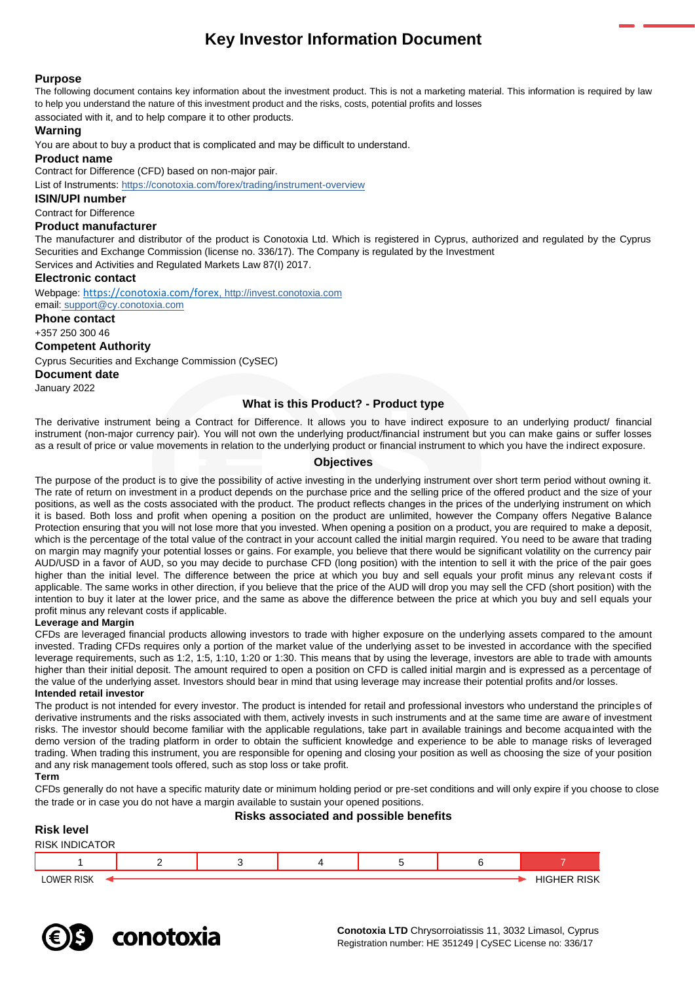# **Key Investor Information Document**

# **Purpose**

The following document contains key information about the investment product. This is not a marketing material. This information is required by law to help you understand the nature of this investment product and the risks, costs, potential profits and losses associated with it, and to help compare it to other products.

### **Warning**

You are about to buy a product that is complicated and may be difficult to understand.

# **Product name**

Contract for Difference (CFD) based on non-major pair.

List of Instruments: <https://conotoxia.com/forex/trading/instrument-overview>

# **ISIN/UPI number**

Contract for Difference

#### **Product manufacturer**

The manufacturer and distributor of the product is Conotoxia Ltd. Which is registered in Cyprus, authorized and regulated by the Cyprus Securities and Exchange Commission (license no. 336/17). The Company is regulated by the Investment

Services and Activities and Regulated Markets Law 87(I) 2017.

### **Electronic contact**

Webpage: <https://conotoxia.com/forex>, http://invest.conotoxia.com email: support@cy.conotoxia.com

**Phone contact**

+357 250 300 46

### **Competent Authority**

Cyprus Securities and Exchange Commission (CySEC)

**Document date**

January 2022

# **What is this Product? - Product type**

The derivative instrument being a Contract for Difference. It allows you to have indirect exposure to an underlying product/ financial instrument (non-major currency pair). You will not own the underlying product/financial instrument but you can make gains or suffer losses as a result of price or value movements in relation to the underlying product or financial instrument to which you have the indirect exposure.

# **Objectives**

The purpose of the product is to give the possibility of active investing in the underlying instrument over short term period without owning it. The rate of return on investment in a product depends on the purchase price and the selling price of the offered product and the size of your positions, as well as the costs associated with the product. The product reflects changes in the prices of the underlying instrument on which it is based. Both loss and profit when opening a position on the product are unlimited, however the Company offers Negative Balance Protection ensuring that you will not lose more that you invested. When opening a position on a product, you are required to make a deposit, which is the percentage of the total value of the contract in your account called the initial margin required. You need to be aware that trading on margin may magnify your potential losses or gains. For example, you believe that there would be significant volatility on the currency pair AUD/USD in a favor of AUD, so you may decide to purchase CFD (long position) with the intention to sell it with the price of the pair goes higher than the initial level. The difference between the price at which you buy and sell equals your profit minus any relevant costs if applicable. The same works in other direction, if you believe that the price of the AUD will drop you may sell the CFD (short position) with the intention to buy it later at the lower price, and the same as above the difference between the price at which you buy and sell equals your profit minus any relevant costs if applicable.

### **Leverage and Margin**

CFDs are leveraged financial products allowing investors to trade with higher exposure on the underlying assets compared to the amount invested. Trading CFDs requires only a portion of the market value of the underlying asset to be invested in accordance with the specified leverage requirements, such as 1:2, 1:5, 1:10, 1:20 or 1:30. This means that by using the leverage, investors are able to trade with amounts higher than their initial deposit. The amount required to open a position on CFD is called initial margin and is expressed as a percentage of the value of the underlying asset. Investors should bear in mind that using leverage may increase their potential profits and/or losses. **Intended retail investor**

The product is not intended for every investor. The product is intended for retail and professional investors who understand the principles of derivative instruments and the risks associated with them, actively invests in such instruments and at the same time are aware of investment risks. The investor should become familiar with the applicable regulations, take part in available trainings and become acquainted with the demo version of the trading platform in order to obtain the sufficient knowledge and experience to be able to manage risks of leveraged trading. When trading this instrument, you are responsible for opening and closing your position as well as choosing the size of your position and any risk management tools offered, such as stop loss or take profit.

**Term**

CFDs generally do not have a specific maturity date or minimum holding period or pre-set conditions and will only expire if you choose to close the trade or in case you do not have a margin available to sustain your opened positions.

# **Risks associated and possible benefits Risk level** RISK INDICATOR 1 2 3 4 5 6 7 LOWER RISK <del>I Highler Risk and the United States and the United States and the United States and Theorem and T</del>

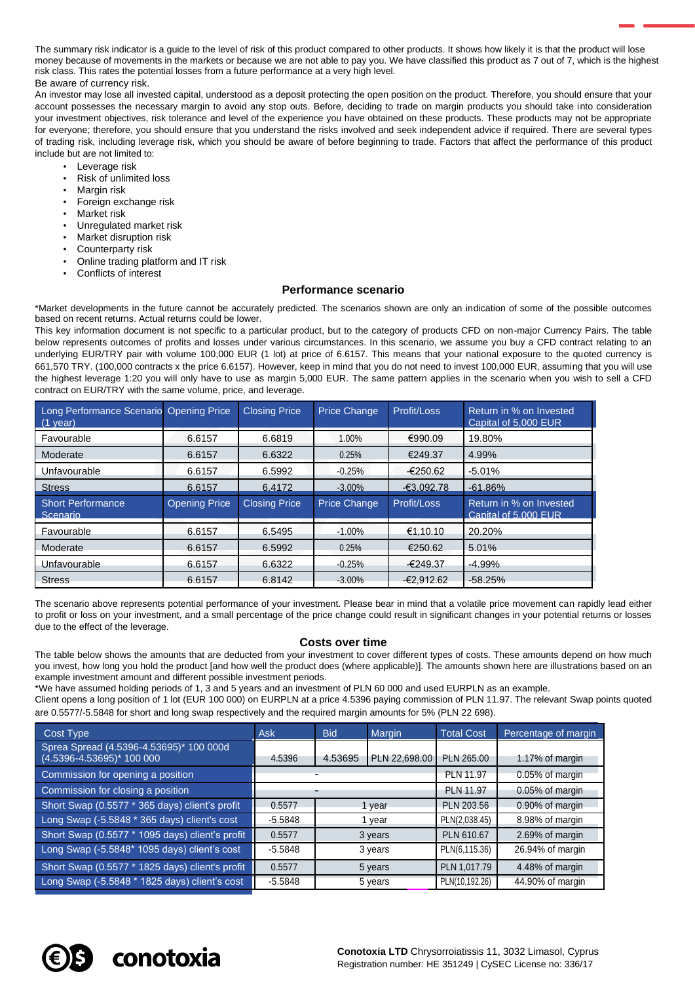The summary risk indicator is a quide to the level of risk of this product compared to other products. It shows how likely it is that the product will lose money because of movements in the markets or because we are not able to pay you. We have classified this product as 7 out of 7, which is the highest risk class. This rates the potential losses from a future performance at a very high level. Be aware of currency risk.

An investor may lose all invested capital, understood as a deposit protecting the open position on the product. Therefore, you should ensure that your account possesses the necessary margin to avoid any stop outs. Before, deciding to trade on margin products you should take into consideration your investment objectives, risk tolerance and level of the experience you have obtained on these products. These products may not be appropriate for everyone; therefore, you should ensure that you understand the risks involved and seek independent advice if required. There are several types of trading risk, including leverage risk, which you should be aware of before beginning to trade. Factors that affect the performance of this product include but are not limited to:

- Leverage risk
	- Risk of unlimited loss
- **Margin risk**
- Foreign exchange risk
- Market risk
- Unregulated market risk
- Market disruption risk
- Counterparty risk
- Online trading platform and IT risk
- Conflicts of interest

#### **Performance scenario**

\*Market developments in the future cannot be accurately predicted. The scenarios shown are only an indication of some of the possible outcomes based on recent returns. Actual returns could be lower.

This key information document is not specific to a particular product, but to the category of products CFD on non-major Currency Pairs. The table below represents outcomes of profits and losses under various circumstances. In this scenario, we assume you buy a CFD contract relating to an underlying EUR/TRY pair with volume 100,000 EUR (1 lot) at price of 6.6157. This means that your national exposure to the quoted currency is 661,570 TRY. (100,000 contracts x the price 6.6157). However, keep in mind that you do not need to invest 100,000 EUR, assuming that you will use the highest leverage 1:20 you will only have to use as margin 5,000 EUR. The same pattern applies in the scenario when you wish to sell a CFD contract on EUR/TRY with the same volume, price, and leverage.

| Long Performance Scenario Opening Price<br>$(1$ year) |                      | <b>Closing Price</b> | <b>Price Change</b> | Profit/Loss  | Return in % on Invested<br>Capital of 5,000 EUR |
|-------------------------------------------------------|----------------------|----------------------|---------------------|--------------|-------------------------------------------------|
| Favourable                                            | 6.6157               | 6.6819               | 1.00%               | €990.09      | 19.80%                                          |
| Moderate                                              | 6.6157               | 6.6322               | 0.25%               | €249.37      | 4.99%                                           |
| Unfavourable                                          | 6.6157               | 6.5992               | $-0.25%$            | $-6250.62$   | $-5.01%$                                        |
| <b>Stress</b>                                         | 6.6157               | 6.4172               | $-3.00\%$           | $-63.092.78$ | $-61.86%$                                       |
|                                                       |                      |                      |                     |              |                                                 |
| <b>Short Performance</b><br>Scenario                  | <b>Opening Price</b> | <b>Closing Price</b> | Price Change        | Profit/Loss  | Return in % on Invested<br>Capital of 5,000 EUR |
| Favourable                                            | 6.6157               | 6.5495               | $-1.00%$            | €1.10.10     | 20.20%                                          |
| Moderate                                              | 6.6157               | 6.5992               | 0.25%               | €250.62      | 5.01%                                           |
| Unfavourable                                          | 6.6157               | 6.6322               | $-0.25%$            | $-6249.37$   | $-4.99%$                                        |

The scenario above represents potential performance of your investment. Please bear in mind that a volatile price movement can rapidly lead either to profit or loss on your investment, and a small percentage of the price change could result in significant changes in your potential returns or losses due to the effect of the leverage.

### **Costs over time**

The table below shows the amounts that are deducted from your investment to cover different types of costs. These amounts depend on how much you invest, how long you hold the product [and how well the product does (where applicable)]. The amounts shown here are illustrations based on an example investment amount and different possible investment periods.

\*We have assumed holding periods of 1, 3 and 5 years and an investment of PLN 60 000 and used EURPLN as an example.

Client opens a long position of 1 lot (EUR 100 000) on EURPLN at a price 4.5396 paying commission of PLN 11.97. The relevant Swap points quoted are 0.5577/-5.5848 for short and long swap respectively and the required margin amounts for 5% (PLN 22 698).

| Cost Type                                                            | <b>Ask</b> | <b>Bid</b> | Margin           | <b>Total Cost</b> | Percentage of margin |
|----------------------------------------------------------------------|------------|------------|------------------|-------------------|----------------------|
| Sprea Spread (4.5396-4.53695)* 100 000d<br>(4.5396-4.53695)* 100 000 | 4.5396     | 4.53695    | PLN 22,698.00    | PLN 265.00        | 1.17% of margin      |
| Commission for opening a position                                    |            |            | PLN 11.97        | 0.05% of margin   |                      |
| Commission for closing a position                                    |            |            | <b>PLN 11.97</b> | 0.05% of margin   |                      |
| Short Swap (0.5577 * 365 days) client's profit                       | 0.5577     | 1 year     |                  | PLN 203.56        | 0.90% of margin      |
| Long Swap (-5.5848 * 365 days) client's cost                         | $-5.5848$  |            | 1 year           | PLN(2,038.45)     | 8.98% of margin      |
| Short Swap (0.5577 * 1095 days) client's profit                      | 0.5577     |            | 3 years          | PLN 610.67        | 2.69% of margin      |
| Long Swap (-5.5848* 1095 days) client's cost                         | $-5.5848$  |            | 3 years          | PLN(6,115.36)     | 26.94% of margin     |
| Short Swap (0.5577 * 1825 days) client's profit                      | 0.5577     |            | 5 years          | PLN 1,017.79      | 4.48% of margin      |
| Long Swap (-5.5848 * 1825 days) client's cost                        | $-5.5848$  |            | 5 years          | PLN(10,192.26)    | 44.90% of margin     |